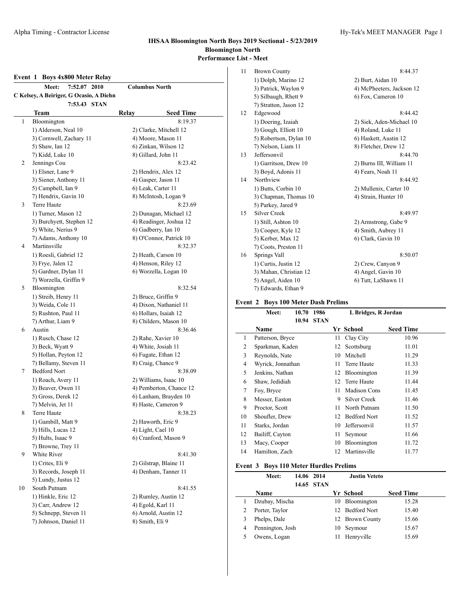#### **Event 1 Boys 4x800 Meter Relay**

|    | <b>Meet:</b><br>7:52.07 2010            |       | <b>Columbus North</b>   |  |
|----|-----------------------------------------|-------|-------------------------|--|
|    | C Kelsey, A Beiriger, G Ocasio, A Diehn |       |                         |  |
|    | 7:53.43 STAN                            |       |                         |  |
|    | Team                                    | Relay | <b>Seed Time</b>        |  |
| 1  | Bloomington                             |       | 8:19.37                 |  |
|    | 1) Alderson, Neal 10                    |       | 2) Clarke, Mitchell 12  |  |
|    | 3) Cornwell, Zachary 11                 |       | 4) Moore, Mason 11      |  |
|    | 5) Shaw, Ian 12                         |       | 6) Zinkan, Wilson 12    |  |
|    | 7) Kidd, Luke 10                        |       | 8) Gillard, John 11     |  |
| 2  | Jennings Cou                            |       | 8:23.42                 |  |
|    | 1) Elsner, Lane 9                       |       | 2) Hendrix, Alex 12     |  |
|    | 3) Siener, Anthony 11                   |       | 4) Gasper, Jason 11     |  |
|    | 5) Campbell, Ian 9                      |       | 6) Leak, Carter 11      |  |
|    | 7) Hendrix, Gavin 10                    |       | 8) McIntosh, Logan 9    |  |
| 3  | Terre Haute                             |       | 8:23.69                 |  |
|    | 1) Turner, Mason 12                     |       | 2) Dunagan, Michael 12  |  |
|    | 3) Burchyett, Stephen 12                |       | 4) Readinger, Joshua 12 |  |
|    | 5) White, Nerius 9                      |       | 6) Gadberry, Ian 10     |  |
|    | 7) Adams, Anthony 10                    |       | 8) O'Connor, Patrick 10 |  |
| 4  | Martinsville                            |       | 8:32.37                 |  |
|    | 1) Roesli, Gabriel 12                   |       | 2) Heath, Carson 10     |  |
|    | 3) Frye, Jalen 12                       |       | 4) Henson, Riley 12     |  |
|    | 5) Gardner, Dylan 11                    |       | 6) Worzella, Logan 10   |  |
|    | 7) Worzella, Griffin 9                  |       |                         |  |
| 5  | Bloomington                             |       | 8:32.54                 |  |
|    | 1) Streib, Henry 11                     |       | 2) Bruce, Griffin 9     |  |
|    | 3) Weida, Cole 11                       |       | 4) Dixon, Nathaniel 11  |  |
|    | 5) Rushton, Paul 11                     |       | 6) Hollars, Isaiah 12   |  |
|    | 7) Arthur, Liam 9                       |       | 8) Childers, Mason 10   |  |
| 6  | Austin                                  |       | 8:36.46                 |  |
|    | 1) Rusch, Chase 12                      |       | 2) Rahe, Xavier 10      |  |
|    | 3) Beck, Wyatt 9                        |       | 4) White, Josiah 11     |  |
|    | 5) Hollan, Peyton 12                    |       | 6) Fugate, Ethan 12     |  |
|    | 7) Bellamy, Steven 11                   |       | 8) Craig, Chance 9      |  |
| 7  | <b>Bedford Nort</b>                     |       | 8:38.09                 |  |
|    | 1) Roach, Avery 11                      |       | 2) Williams, Isaac 10   |  |
|    | 3) Beaver, Owen 11                      |       | 4) Pemberton, Chance 12 |  |
|    | 5) Gross, Derek 12                      |       | 6) Lanham, Brayden 10   |  |
|    | 7) Melvin, Jet 11                       |       | 8) Haste, Cameron 9     |  |
| 8  | Terre Haute                             |       | 8:38.23                 |  |
|    | 1) Gambill, Matt 9                      |       | 2) Haworth, Eric 9      |  |
|    | 3) Hills, Lucas 12                      |       | 4) Light, Cael 10       |  |
|    | 5) Hults, Isaac 9                       |       | 6) Cranford, Mason 9    |  |
|    | 7) Browne, Trey 11                      |       |                         |  |
| 9  | White River                             |       | 8:41.30                 |  |
|    | 1) Crites, Eli 9                        |       | 2) Gilstrap, Blaine 11  |  |
|    | 3) Records, Joseph 11                   |       | 4) Denham, Tanner 11    |  |
|    | 5) Lundy, Justus 12                     |       |                         |  |
| 10 | South Putnam                            |       | 8:41.55                 |  |
|    | 1) Hinkle, Eric 12                      |       | 2) Rumley, Austin 12    |  |
|    | 3) Carr, Andrew 12                      |       | 4) Egold, Karl 11       |  |
|    | 5) Schnepp, Steven 11                   |       | 6) Arnold, Austin 12    |  |
|    | 7) Johnson, Daniel 11                   |       | 8) Smith, Eli 9         |  |
|    |                                         |       |                         |  |

| 11 | <b>Brown County</b>    | 8:44.37                   |
|----|------------------------|---------------------------|
|    | 1) Dolph, Marino 12    | 2) Burt, Aidan 10         |
|    | 3) Patrick, Waylon 9   | 4) McPheeters, Jackson 12 |
|    | 5) Silbaugh, Rhett 9   | 6) Fox, Cameron 10        |
|    | 7) Stratton, Jason 12  |                           |
| 12 | Edgewood               | 8:44.42                   |
|    | 1) Doering, Izaiah     | 2) Siek, Aden-Michael 10  |
|    | 3) Gough, Elliott 10   | 4) Roland, Luke 11        |
|    | 5) Robertson, Dylan 10 | 6) Haskett, Austin 12     |
|    | 7) Nelson, Liam 11     | 8) Fletcher, Drew 12      |
| 13 | Jeffersonvil           | 8:44.70                   |
|    | 1) Garritson, Drew 10  | 2) Burns III, William 11  |
|    | 3) Boyd, Adonis 11     | 4) Fears, Noah 11         |
| 14 | Northview              | 8:44.92                   |
|    | 1) Butts, Corbin 10    | 2) Mullenix, Carter 10    |
|    | 3) Chapman, Thomas 10  | 4) Strain, Hunter 10      |
|    | 5) Parkey, Jared 9     |                           |
| 15 | <b>Silver Creek</b>    | 8:49.97                   |
|    | 1) Still, Ashton 10    | 2) Armstrong, Gabe 9      |
|    | 3) Cooper, Kyle 12     | 4) Smith, Aubrey 11       |
|    | 5) Kerber, Max 12      | 6) Clark, Gavin 10        |
|    | 7) Coots, Preston 11   |                           |
| 16 | Springs Vall           | 8:50.07                   |
|    | 1) Curtis, Justin 12   | 2) Crew, Canyon 9         |
|    | 3) Mahan, Christian 12 | 4) Angel, Gavin 10        |
|    | 5) Angel, Aiden 10     | 6) Tutt, LaShawn 11       |
|    | 7) Edwards, Ethan 9    |                           |

## **Event 2 Boys 100 Meter Dash Prelims**

|    | Meet:             | 10.70 | 1986        |    | L Bridges, R Jordan |                  |  |  |  |
|----|-------------------|-------|-------------|----|---------------------|------------------|--|--|--|
|    |                   | 10.94 | <b>STAN</b> |    |                     |                  |  |  |  |
|    | <b>Name</b>       |       |             |    | Yr School           | <b>Seed Time</b> |  |  |  |
| 1  | Patterson, Bryce  |       |             | 11 | Clay City           | 10.96            |  |  |  |
| 2  | Sparkman, Kaden   |       |             | 12 | Scottsburg          | 11.01            |  |  |  |
| 3  | Reynolds, Nate    |       |             | 10 | Mitchell            | 11.29            |  |  |  |
| 4  | Wyrick, Jonnathan |       |             | 11 | Terre Haute         | 11.33            |  |  |  |
| 5  | Jenkins, Nathan   |       |             | 12 | Bloomington         | 11.39            |  |  |  |
| 6  | Shaw, Jedidiah    |       |             | 12 | Terre Haute         | 11.44            |  |  |  |
| 7  | Foy, Bryce        |       |             | 11 | <b>Madison Cons</b> | 11.45            |  |  |  |
| 8  | Messer, Easton    |       |             | 9  | Silver Creek        | 11.46            |  |  |  |
| 9  | Proctor, Scott    |       |             | 11 | North Putnam        | 11.50            |  |  |  |
| 10 | Shoufler, Drew    |       |             | 12 | <b>Bedford Nort</b> | 11.52            |  |  |  |
| 11 | Starks, Jordan    |       |             | 10 | Jeffersonvil        | 11.57            |  |  |  |
| 12 | Bailiff, Cayton   |       |             | 11 | Seymour             | 11.66            |  |  |  |
| 13 | Macy, Cooper      |       |             | 10 | Bloomington         | 11.72            |  |  |  |
| 14 | Hamilton, Zach    |       |             | 12 | Martinsville        | 11.77            |  |  |  |
|    |                   |       |             |    |                     |                  |  |  |  |

## **Event 3 Boys 110 Meter Hurdles Prelims**

|   | Meet:            | 14.06 2014 | 14.65 STAN |    | <b>Justin Veteto</b> |                  |
|---|------------------|------------|------------|----|----------------------|------------------|
|   | <b>Name</b>      |            |            |    | Yr School            | <b>Seed Time</b> |
|   | Dzubay, Mischa   |            |            |    | 10 Bloomington       | 15.28            |
|   | Porter, Taylor   |            |            |    | 12 Bedford Nort      | 15.40            |
|   | Phelps, Dale     |            |            |    | 12 Brown County      | 15.66            |
| 4 | Pennington, Josh |            |            | 10 | Seymour              | 15.67            |
|   | Owens, Logan     |            |            | 11 | Henryville           | 15.69            |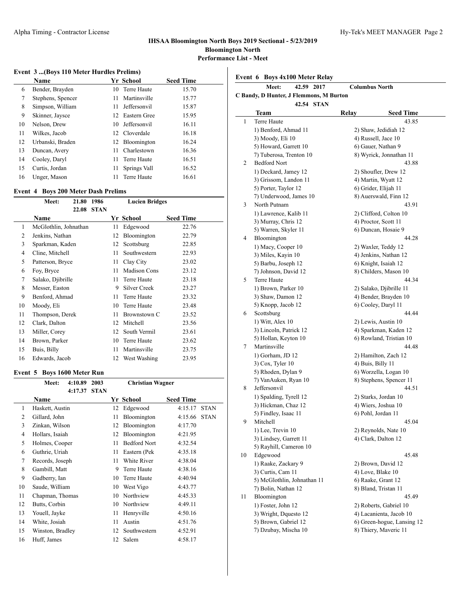$\overline{a}$ 

#### **Event 3 ...(Boys 110 Meter Hurdles Prelims)**

|    | Name              |    | Yr School       | <b>Seed Time</b> |
|----|-------------------|----|-----------------|------------------|
| 6  | Bender, Brayden   |    | 10 Terre Haute  | 15.70            |
| 7  | Stephens, Spencer | 11 | Martinsville    | 15.77            |
| 8  | Simpson, William  | 11 | Jeffersonvil    | 15.87            |
| 9  | Skinner, Jaysce   |    | 12 Eastern Gree | 15.95            |
| 10 | Nelson, Drew      |    | 10 Jeffersonvil | 16.11            |
| 11 | Wilkes, Jacob     |    | 12 Cloverdale   | 16.18            |
| 12 | Urbanski, Braden  |    | 12 Bloomington  | 16.24            |
| 13 | Duncan, Avery     | 11 | Charlestown     | 16.36            |
| 14 | Cooley, Daryl     | 11 | Terre Haute     | 16.51            |
| 15 | Curtis, Jordan    | 11 | Springs Vall    | 16.52            |
| 16 | Unger, Mason      |    | Terre Haute     | 16.61            |

#### **Event 4 Boys 200 Meter Dash Prelims**

|    | Meet:                 | 21.80 | 1986        |    | <b>Lucien Bridges</b> |                  |  |  |  |
|----|-----------------------|-------|-------------|----|-----------------------|------------------|--|--|--|
|    |                       | 22.08 | <b>STAN</b> |    |                       |                  |  |  |  |
|    | Name                  |       |             |    | Yr School             | <b>Seed Time</b> |  |  |  |
| 1  | McGlothlin, Johnathan |       |             | 11 | Edgewood              | 22.76            |  |  |  |
| 2  | Jenkins, Nathan       |       |             | 12 | Bloomington           | 22.79            |  |  |  |
| 3  | Sparkman, Kaden       |       |             | 12 | Scottsburg            | 22.85            |  |  |  |
| 4  | Cline, Mitchell       |       |             | 11 | Southwestern          | 22.93            |  |  |  |
| 5  | Patterson, Bryce      |       |             | 11 | Clay City             | 23.02            |  |  |  |
| 6  | Foy, Bryce            |       |             | 11 | <b>Madison Cons</b>   | 23.12            |  |  |  |
| 7  | Salako, Djibrille     |       |             | 11 | Terre Haute           | 23.18            |  |  |  |
| 8  | Messer, Easton        |       |             | 9  | Silver Creek          | 23.27            |  |  |  |
| 9  | Benford, Ahmad        |       |             | 11 | Terre Haute           | 23.32            |  |  |  |
| 10 | Moody, Eli            |       |             | 10 | Terre Haute           | 23.48            |  |  |  |
| 11 | Thompson, Derek       |       |             | 11 | Brownstown C          | 23.52            |  |  |  |
| 12 | Clark, Dalton         |       |             | 12 | Mitchell              | 23.56            |  |  |  |
| 13 | Miller, Corey         |       |             | 12 | South Vermil          | 23.61            |  |  |  |
| 14 | Brown, Parker         |       |             | 10 | Terre Haute           | 23.62            |  |  |  |
| 15 | Buis, Billy           |       |             | 11 | Martinsville          | 23.75            |  |  |  |
| 16 | Edwards, Jacob        |       |             |    | 12 West Washing       | 23.95            |  |  |  |

## **Event 5 Boys 1600 Meter Run**

|    | Meet:            | 4:10.89 | 2003        | <b>Christian Wagner</b> |                     |                  |             |  |
|----|------------------|---------|-------------|-------------------------|---------------------|------------------|-------------|--|
|    |                  | 4:17.37 | <b>STAN</b> |                         |                     |                  |             |  |
|    | Name             |         |             |                         | Yr School           | <b>Seed Time</b> |             |  |
| 1  | Haskett, Austin  |         |             | 12                      | Edgewood            | 4:15.17          | <b>STAN</b> |  |
| 2  | Gillard, John    |         |             | 11                      | Bloomington         | 4:15.66          | <b>STAN</b> |  |
| 3  | Zinkan, Wilson   |         |             | 12                      | Bloomington         | 4:17.70          |             |  |
| 4  | Hollars, Isaiah  |         |             | 12                      | Bloomington         | 4:21.95          |             |  |
| 5  | Holmes, Cooper   |         |             | 11                      | <b>Bedford Nort</b> | 4:32.54          |             |  |
| 6  | Guthrie, Uriah   |         |             | 11                      | Eastern (Pek        | 4:35.18          |             |  |
| 7  | Records, Joseph  |         |             | 11                      | White River         | 4:38.04          |             |  |
| 8  | Gambill, Matt    |         |             | 9                       | Terre Haute         | 4:38.16          |             |  |
| 9  | Gadberry, Ian    |         |             | 10                      | Terre Haute         | 4:40.94          |             |  |
| 10 | Saude, William   |         |             | 10                      | West Vigo           | 4:43.77          |             |  |
| 11 | Chapman, Thomas  |         |             | 10                      | Northview           | 4:45.33          |             |  |
| 12 | Butts, Corbin    |         |             | 10                      | Northview           | 4:49.11          |             |  |
| 13 | Youell, Jayke    |         |             | 11                      | Henryville          | 4:50.16          |             |  |
| 14 | White, Josiah    |         |             | 11                      | Austin              | 4:51.76          |             |  |
| 15 | Winston, Bradley |         |             | 12                      | Southwestern        | 4:52.91          |             |  |
| 16 | Huff, James      |         |             | 12                      | Salem               | 4:58.17          |             |  |

**Event 6 Boys 4x100 Meter Relay**

|    | 42.59 2017<br><b>Meet:</b>              | <b>Columbus North</b> |                                               |
|----|-----------------------------------------|-----------------------|-----------------------------------------------|
|    | C Bandy, D Hunter, J Flemmons, M Burton |                       |                                               |
|    | 42.54 STAN                              |                       |                                               |
| 1  | Team<br>Terre Haute                     | Relay                 | <b>Seed Time</b><br>43.85                     |
|    |                                         |                       |                                               |
|    | 1) Benford, Ahmad 11                    |                       | 2) Shaw, Jedidiah 12                          |
|    | 3) Moody, Eli 10                        |                       | 4) Russell, Jace 10                           |
|    | 5) Howard, Garrett 10                   |                       | 6) Gauer, Nathan 9<br>8) Wyrick, Jonnathan 11 |
|    | 7) Tuberosa, Trenton 10                 |                       |                                               |
| 2  | <b>Bedford Nort</b>                     |                       | 43.88                                         |
|    | 1) Deckard, Jamey 12                    |                       | 2) Shoufler, Drew 12                          |
|    | 3) Grissom, Landon 11                   |                       | 4) Martin, Wyatt 12                           |
|    | 5) Porter, Taylor 12                    |                       | 6) Grider, Elijah 11                          |
|    | 7) Underwood, James 10                  |                       | 8) Auerswald, Finn 12                         |
| 3  | North Putnam                            |                       | 43.91                                         |
|    | 1) Lawrence, Kalib 11                   |                       | 2) Clifford, Colton 10                        |
|    | 3) Murray, Chris 12                     |                       | 4) Proctor, Scott 11                          |
|    | 5) Warren, Skyler 11                    |                       | 6) Duncan, Hosaie 9                           |
| 4  | Bloomington                             |                       | 44.28                                         |
|    | 1) Macy, Cooper 10                      |                       | 2) Waxler, Teddy 12                           |
|    | 3) Miles, Kayin 10                      |                       | 4) Jenkins, Nathan 12                         |
|    | 5) Barbu, Joseph 12                     |                       | 6) Knight, Isaiah 12                          |
|    | 7) Johnson, David 12                    |                       | 8) Childers, Mason 10                         |
| 5  | Terre Haute                             |                       | 44.34                                         |
|    | 1) Brown, Parker 10                     |                       | 2) Salako, Djibrille 11                       |
|    | 3) Shaw, Damon 12                       |                       | 4) Bender, Brayden 10                         |
|    | 5) Knopp, Jacob 12                      |                       | 6) Cooley, Daryl 11                           |
| 6  | Scottsburg                              |                       | 44.44                                         |
|    | 1) Witt, Alex 10                        |                       | 2) Lewis, Austin 10                           |
|    | 3) Lincoln, Patrick 12                  |                       | 4) Sparkman, Kaden 12                         |
|    | 5) Hollan, Keyton 10                    |                       | 6) Rowland, Tristian 10                       |
| 7  | Martinsville                            |                       | 44.48                                         |
|    | 1) Gorham, JD 12                        |                       | 2) Hamilton, Zach 12                          |
|    | $3)$ Cox, Tyler 10                      |                       | 4) Buis, Billy 11                             |
|    | 5) Rhoden, Dylan 9                      |                       | 6) Worzella, Logan 10                         |
|    | 7) VanAuken, Ryan 10                    |                       | 8) Stephens, Spencer 11                       |
| 8  | Jeffersonvil                            |                       | 44.51                                         |
|    | 1) Spalding, Tyrell 12                  |                       | 2) Starks, Jordan 10                          |
|    | 3) Hickman, Chaz 12                     |                       | 4) Wiers, Joshua 10                           |
|    | 5) Findley, Isaac 11                    |                       | 6) Pohl, Jordan 11                            |
| 9  | Mitchell                                |                       | 45.04                                         |
|    | 1) Lee, Trevin 10                       |                       | 2) Reynolds, Nate 10                          |
|    | 3) Lindsey, Garrett 11                  |                       | 4) Clark, Dalton 12                           |
|    | 5) Rayhill, Cameron 10                  |                       |                                               |
| 10 | Edgewood                                |                       | 45.48                                         |
|    | 1) Raake, Zackary 9                     |                       | 2) Brown, David 12                            |
|    | 3) Curtis, Cam 11                       |                       | 4) Love, Blake 10                             |
|    | 5) McGlothlin, Johnathan 11             |                       | 6) Raake, Grant 12                            |
|    | 7) Bolin, Nathan 12                     |                       | 8) Bland, Tristan 11                          |
| 11 | Bloomington                             |                       | 45.49                                         |
|    | 1) Foster, John 12                      |                       | 2) Roberts, Gabriel 10                        |
|    | 3) Wright, Dquesto 12                   |                       | 4) Lacanienta, Jacob 10                       |
|    | 5) Brown, Gabriel 12                    |                       | 6) Green-hogue, Lansing 12                    |
|    | 7) Dzubay, Mischa 10                    |                       | 8) Thiery, Maveric 11                         |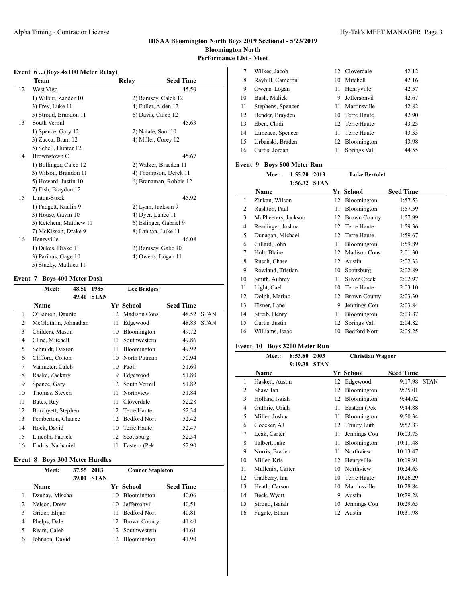$\overline{a}$ 

## **Event 6 ...(Boys 4x100 Meter Relay)**

|    | Team                   | Relav | <b>Seed Time</b>       |  |
|----|------------------------|-------|------------------------|--|
| 12 | West Vigo              |       | 45.50                  |  |
|    | 1) Wilbur, Zander 10   |       | 2) Ramsey, Caleb 12    |  |
|    | 3) Frey, Luke 11       |       | 4) Fuller, Alden 12    |  |
|    | 5) Stroud, Brandon 11  |       | 6) Davis, Caleb 12     |  |
| 13 | South Vermil           |       | 45.63                  |  |
|    | 1) Spence, Gary 12     |       | 2) Natale, Sam 10      |  |
|    | 3) Zucca, Brant 12     |       | 4) Miller, Corey 12    |  |
|    | 5) Schell, Hunter 12   |       |                        |  |
| 14 | Brownstown C           |       | 45.67                  |  |
|    | 1) Bollinger, Caleb 12 |       | 2) Walker, Braeden 11  |  |
|    | 3) Wilson, Brandon 11  |       | 4) Thompson, Derek 11  |  |
|    | 5) Howard, Justin 10   |       | 6) Branaman, Robbie 12 |  |
|    | 7) Fish, Braydon 12    |       |                        |  |
| 15 | Linton-Stock           |       | 45.92                  |  |
|    | 1) Padgett, Kaulin 9   |       | 2) Lynn, Jackson 9     |  |
|    | 3) House, Gavin 10     |       | 4) Dyer, Lance 11      |  |
|    | 5) Ketchem, Matthew 11 |       | 6) Eslinger, Gabriel 9 |  |
|    | 7) McKisson, Drake 9   |       | 8) Lannan, Luke 11     |  |
| 16 | Henryville             |       | 46.08                  |  |
|    | 1) Dukes, Drake 11     |       | 2) Ramsey, Gabe 10     |  |
|    | 3) Parihus, Gage 10    |       | 4) Owens, Logan 11     |  |
|    | 5) Stucky, Mathieu 11  |       |                        |  |

## **Event 7 Boys 400 Meter Dash**

|    | Meet:                 | 48.50 | 1985        |    | <b>Lee Bridges</b>  |                  |             |
|----|-----------------------|-------|-------------|----|---------------------|------------------|-------------|
|    |                       | 49.40 | <b>STAN</b> |    |                     |                  |             |
|    | <b>Name</b>           |       |             |    | Yr School           | <b>Seed Time</b> |             |
| 1  | O'Banion, Daunte      |       |             | 12 | Madison Cons        | 48.52            | <b>STAN</b> |
| 2  | McGlothlin, Johnathan |       |             | 11 | Edgewood            | 48.83            | <b>STAN</b> |
| 3  | Childers, Mason       |       |             | 10 | Bloomington         | 49.72            |             |
| 4  | Cline, Mitchell       |       |             | 11 | Southwestern        | 49.86            |             |
| 5  | Schmidt, Daxton       |       |             | 11 | Bloomington         | 49.92            |             |
| 6  | Clifford, Colton      |       |             | 10 | North Putnam        | 50.94            |             |
| 7  | Vanmeter, Caleb       |       |             | 10 | Paoli               | 51.60            |             |
| 8  | Raake, Zackary        |       |             | 9  | Edgewood            | 51.80            |             |
| 9  | Spence, Gary          |       |             | 12 | South Vermil        | 51.82            |             |
| 10 | Thomas, Steven        |       |             | 11 | Northview           | 51.84            |             |
| 11 | Bates, Ray            |       |             | 11 | Cloverdale          | 52.28            |             |
| 12 | Burchyett, Stephen    |       |             | 12 | Terre Haute         | 52.34            |             |
| 13 | Pemberton, Chance     |       |             | 12 | <b>Bedford Nort</b> | 52.42            |             |
| 14 | Hock, David           |       |             | 10 | Terre Haute         | 52.47            |             |
| 15 | Lincoln, Patrick      |       |             | 12 | Scottsburg          | 52.54            |             |
| 16 | Endris, Nathaniel     |       |             | 11 | Eastern (Pek        | 52.90            |             |

## **Event 8 Boys 300 Meter Hurdles**

 $\overline{a}$ 

|                | Meet:          | 37.55 2013 |             |     | <b>Conner Stapleton</b> |                  |
|----------------|----------------|------------|-------------|-----|-------------------------|------------------|
|                |                | 39.01      | <b>STAN</b> |     |                         |                  |
|                | <b>Name</b>    |            |             |     | Yr School               | <b>Seed Time</b> |
|                | Dzubay, Mischa |            |             | 10  | Bloomington             | 40.06            |
| 2              | Nelson, Drew   |            |             | 10. | Jeffersonvil            | 40.51            |
| 3              | Grider, Elijah |            |             | 11  | <b>Bedford Nort</b>     | 40.81            |
| $\overline{4}$ | Phelps, Dale   |            |             |     | 12 Brown County         | 41.40            |
| 5              | Ream, Caleb    |            |             |     | 12 Southwestern         | 41.61            |
| 6              | Johnson, David |            |             |     | Bloomington             | 41.90            |

|    | Wilkes, Jacob     |     | 12 Cloverdale  | 42.12 |
|----|-------------------|-----|----------------|-------|
| 8  | Rayhill, Cameron  |     | 10 Mitchell    | 42.16 |
| 9  | Owens, Logan      | 11. | Henryville     | 42.57 |
| 10 | Bush, Maliek      | 9   | Jeffersonvil   | 42.67 |
| 11 | Stephens, Spencer | 11. | Martinsville   | 42.82 |
| 12 | Bender, Brayden   |     | 10 Terre Haute | 42.90 |
| 13 | Eben, Chidi       |     | 12 Terre Haute | 43.23 |
| 14 | Limcaco, Spencer  | 11. | Terre Haute    | 43.33 |
| 15 | Urbanski, Braden  |     | 12 Bloomington | 43.98 |
| 16 | Curtis, Jordan    | 11. | Springs Vall   | 44.55 |
|    |                   |     |                |       |

## **Event 9 Boys 800 Meter Run**

|                | Meet:               | 1:55.20 | 2013        |    | <b>Luke Bertolet</b> |                  |
|----------------|---------------------|---------|-------------|----|----------------------|------------------|
|                |                     | 1:56.32 | <b>STAN</b> |    |                      |                  |
|                | Name                |         |             |    | Yr School            | <b>Seed Time</b> |
| 1              | Zinkan, Wilson      |         |             | 12 | Bloomington          | 1:57.53          |
| 2              | Rushton, Paul       |         |             | 11 | Bloomington          | 1:57.59          |
| 3              | McPheeters, Jackson |         |             | 12 | <b>Brown County</b>  | 1:57.99          |
| $\overline{4}$ | Readinger, Joshua   |         |             | 12 | Terre Haute          | 1:59.36          |
| 5              | Dunagan, Michael    |         |             | 12 | Terre Haute          | 1:59.67          |
| 6              | Gillard, John       |         |             | 11 | Bloomington          | 1:59.89          |
| 7              | Holt, Blaire        |         |             | 12 | Madison Cons         | 2:01.30          |
| 8              | Rusch, Chase        |         |             | 12 | Austin               | 2:02.33          |
| 9              | Rowland, Tristian   |         |             | 10 | Scottsburg           | 2:02.89          |
| 10             | Smith, Aubrey       |         |             | 11 | Silver Creek         | 2:02.97          |
| 11             | Light, Cael         |         |             | 10 | Terre Haute          | 2:03.10          |
| 12             | Dolph, Marino       |         |             | 12 | <b>Brown County</b>  | 2:03.30          |
| 13             | Elsner, Lane        |         |             | 9  | Jennings Cou         | 2:03.84          |
| 14             | Streib, Henry       |         |             | 11 | Bloomington          | 2:03.87          |
| 15             | Curtis, Justin      |         |             | 12 | Springs Vall         | 2:04.82          |
| 16             | Williams, Isaac     |         |             | 10 | <b>Bedford Nort</b>  | 2:05.25          |
|                |                     |         |             |    |                      |                  |

## **Event 10 Boys 3200 Meter Run**

|    | Meet:            | 8:53.80 | 2003        |    | <b>Christian Wagner</b> |                  |             |  |
|----|------------------|---------|-------------|----|-------------------------|------------------|-------------|--|
|    |                  | 9:19.38 | <b>STAN</b> |    |                         |                  |             |  |
|    | Name             |         |             |    | Yr School               | <b>Seed Time</b> |             |  |
| 1  | Haskett, Austin  |         |             | 12 | Edgewood                | 9:17.98          | <b>STAN</b> |  |
| 2  | Shaw, Ian        |         |             | 12 | Bloomington             | 9:25.01          |             |  |
| 3  | Hollars, Isaiah  |         |             | 12 | Bloomington             | 9:44.02          |             |  |
| 4  | Guthrie, Uriah   |         |             | 11 | Eastern (Pek            | 9:44.88          |             |  |
| 5  | Miller, Joshua   |         |             | 11 | Bloomington             | 9:50.34          |             |  |
| 6  | Goecker, AJ      |         |             | 12 | Trinity Luth            | 9:52.83          |             |  |
| 7  | Leak, Carter     |         |             | 11 | Jennings Cou            | 10:03.73         |             |  |
| 8  | Talbert, Jake    |         |             | 11 | Bloomington             | 10:11.48         |             |  |
| 9  | Norris, Braden   |         |             | 11 | Northview               | 10:13.47         |             |  |
| 10 | Miller, Kris     |         |             | 12 | Henryville              | 10:19.91         |             |  |
| 11 | Mullenix, Carter |         |             | 10 | Northview               | 10:24.63         |             |  |
| 12 | Gadberry, Ian    |         |             | 10 | Terre Haute             | 10:26.29         |             |  |
| 13 | Heath, Carson    |         |             | 10 | Martinsville            | 10:28.84         |             |  |
| 14 | Beck, Wyatt      |         |             | 9  | Austin                  | 10:29.28         |             |  |
| 15 | Stroud, Isaiah   |         |             | 10 | Jennings Cou            | 10:29.65         |             |  |
| 16 | Fugate, Ethan    |         |             | 12 | Austin                  | 10:31.98         |             |  |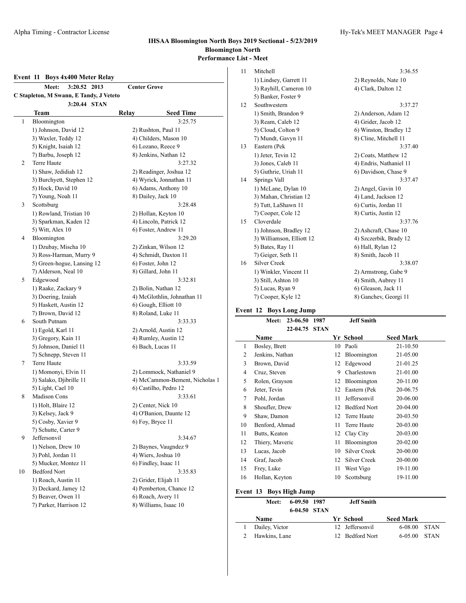## **Event 11 Boys 4x400 Meter Relay Meet: 3:20.52 2013 Center Grove C Stapleton, M Swann, E Tandy, J Veteto 3:20.44 STAN Team Relay Seed Time** 1 Bloomington 3:25.75 1) Johnson, David 12 2) Rushton, Paul 11 3) Waxler, Teddy 12 4) Childers, Mason 10 5) Knight, Isaiah 12 6) Lozano, Reece 9 7) Barbu, Joseph 12 8) Jenkins, Nathan 12 2 Terre Haute 3:27.32 1) Shaw, Jedidiah 12 2) Readinger, Joshua 12 3) Burchyett, Stephen 12 4) Wyrick, Jonnathan 11 5) Hock, David 10 6) Adams, Anthony 10 7) Young, Noah 11 8) Dailey, Jack 10 3 Scottsburg 3:28.48 1) Rowland, Tristian 10 2) Hollan, Keyton 10 3) Sparkman, Kaden 12 4) Lincoln, Patrick 12 5) Witt, Alex 10 6) Foster, Andrew 11 4 Bloomington 3:29.20 1) Dzubay, Mischa 10 2) Zinkan, Wilson 12 3) Ross-Harman, Murry 9 4) Schmidt, Daxton 11 5) Green-hogue, Lansing 12 6) Foster, John 12 7) Alderson, Neal 10 8) Gillard, John 11 5 Edgewood 3:32.81 1) Raake, Zackary 9 2) Bolin, Nathan 12 3) Doering, Izaiah 4) McGlothlin, Johnathan 11 5) Haskett, Austin 12 6) Gough, Elliott 10 7) Brown, David 12 8) Roland, Luke 11 6 South Putnam 3:33.33 1) Egold, Karl 11 2) Arnold, Austin 12 3) Gregory, Kain 11 4) Rumley, Austin 12 5) Johnson, Daniel 11 6) Bach, Lucas 11 7) Schnepp, Steven 11 7 Terre Haute 3:33.59 1) Momonyi, Elvin 11 2) Lommock, Nathaniel 9 3) Salako, Djibrille 11 4) McCammon-Bement, Nicholas 1 5) Light, Cael 10 6) Castilho, Pedro 12 8 Madison Cons 3:33.61 1) Holt, Blaire 12 2) Center, Nick 10 3) Kelsey, Jack 9 4) O'Banion, Daunte 12 5) Cosby, Xavier 9 6) Foy, Bryce 11 7) Schutte, Carter 9 9 Jeffersonvil 3:34.67 1) Nelson, Drew 10 2) Baynes, Vaugndez 9 3) Pohl, Jordan 11 4) Wiers, Joshua 10 5) Mucker, Montez 11 6) Findley, Isaac 11 10 Bedford Nort 3:35.83 1) Roach, Austin 11 2) Grider, Elijah 11 3) Deckard, Jamey 12 4) Pemberton, Chance 12 5) Beaver, Owen 11 6) Roach, Avery 11 7) Parker, Harrison 12 8) Williams, Isaac 10

| 11 | Mitchell                  | 3:36.55                 |
|----|---------------------------|-------------------------|
|    | 1) Lindsey, Garrett 11    | 2) Reynolds, Nate 10    |
|    | 3) Rayhill, Cameron 10    | 4) Clark, Dalton 12     |
|    | 5) Banker, Foster 9       |                         |
| 12 | Southwestern              | 3:37.27                 |
|    | 1) Smith, Brandon 9       | 2) Anderson, Adam 12    |
|    | 3) Ream, Caleb 12         | 4) Grider, Jacob 12     |
|    | 5) Cloud, Colton 9        | 6) Winston, Bradley 12  |
|    | 7) Mundt, Gavyn 11        | 8) Cline, Mitchell 11   |
| 13 | Eastern (Pek              | 3:37.40                 |
|    | 1) Jeter, Tevin 12        | 2) Coats, Matthew 12    |
|    | 3) Jones, Caleb 11        | 4) Endris, Nathaniel 11 |
|    | 5) Guthrie, Uriah 11      | 6) Davidson, Chase 9    |
| 14 | Springs Vall              | 3:37.47                 |
|    | 1) McLane, Dylan 10       | 2) Angel, Gavin 10      |
|    | 3) Mahan, Christian 12    | 4) Land, Jackson 12     |
|    | 5) Tutt, LaShawn 11       | 6) Curtis, Jordan 11    |
|    | 7) Cooper, Cole 12        | 8) Curtis, Justin 12    |
| 15 | Cloverdale                | 3:37.76                 |
|    | 1) Johnson, Bradley 12    | 2) Ashcraft, Chase 10   |
|    | 3) Williamson, Elliott 12 | 4) Szczerbik, Brady 12  |
|    | 5) Bates, Ray 11          | 6) Hall, Rylan 12       |
|    | 7) Geiger, Seth 11        | 8) Smith, Jacob 11      |
| 16 | Silver Creek              | 3:38.07                 |
|    | 1) Winkler, Vincent 11    | 2) Armstrong, Gabe 9    |
|    | 3) Still, Ashton 10       | 4) Smith, Aubrey 11     |
|    | 5) Lucas, Ryan 9          | 6) Gleason, Jack 11     |
|    | 7) Cooper, Kyle 12        | 8) Ganchev, Georgi 11   |
|    |                           |                         |

# **Event 12 Boys Long Jump**

|    | Meet:           | 23-06.50 | 1987        |    | <b>Jeff Smith</b>   |                  |
|----|-----------------|----------|-------------|----|---------------------|------------------|
|    |                 | 22-04.75 | <b>STAN</b> |    |                     |                  |
|    | Name            |          |             |    | Yr School           | <b>Seed Mark</b> |
| 1  | Bosley, Brett   |          |             | 10 | Paoli               | 21-10.50         |
| 2  | Jenkins, Nathan |          |             | 12 | Bloomington         | 21-05.00         |
| 3  | Brown, David    |          |             | 12 | Edgewood            | 21-01.25         |
| 4  | Cruz, Steven    |          |             | 9  | Charlestown         | 21-01.00         |
| 5  | Rolen, Grayson  |          |             | 12 | Bloomington         | 20-11.00         |
| 6  | Jeter, Tevin    |          |             | 12 | Eastern (Pek        | 20-06.75         |
| 7  | Pohl, Jordan    |          |             | 11 | Jeffersonvil        | 20-06.00         |
| 8  | Shoufler, Drew  |          |             | 12 | <b>Bedford Nort</b> | 20-04.00         |
| 9  | Shaw, Damon     |          |             | 12 | Terre Haute         | 20-03.50         |
| 10 | Benford, Ahmad  |          |             | 11 | Terre Haute         | 20-03.00         |
| 11 | Butts, Keaton   |          |             | 12 | Clay City           | 20-03.00         |
| 12 | Thiery, Maveric |          |             | 11 | Bloomington         | 20-02.00         |
| 13 | Lucas, Jacob    |          |             | 10 | Silver Creek        | 20-00.00         |
| 14 | Graf, Jacob     |          |             | 12 | Silver Creek        | 20-00.00         |
| 15 | Frey, Luke      |          |             | 11 | West Vigo           | 19-11.00         |
| 16 | Hollan, Keyton  |          |             | 10 | Scottsburg          | 19-11.00         |
|    |                 |          |             |    |                     |                  |

#### **Event 13 Boys High Jump**

| Meet:          | 6-09.50 1987<br>6-04.50 STAN |  | <b>Jeff Smith</b> |                  |      |  |
|----------------|------------------------------|--|-------------------|------------------|------|--|
| Name           |                              |  | Yr School         | <b>Seed Mark</b> |      |  |
| Dailey, Victor |                              |  | 12 Jeffersonvil   | $6-08.00$ STAN   |      |  |
| Hawkins, Lane  |                              |  | 12 Bedford Nort   | $6 - 05.00$      | STAN |  |